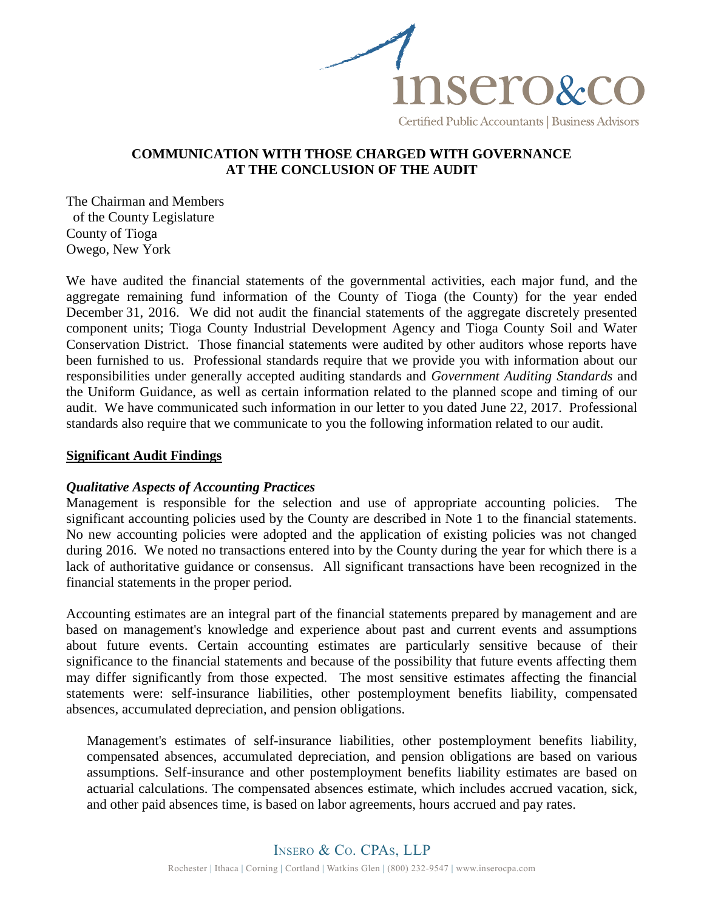

# **COMMUNICATION WITH THOSE CHARGED WITH GOVERNANCE AT THE CONCLUSION OF THE AUDIT**

The Chairman and Members of the County Legislature County of Tioga Owego, New York

We have audited the financial statements of the governmental activities, each major fund, and the aggregate remaining fund information of the County of Tioga (the County) for the year ended December 31, 2016. We did not audit the financial statements of the aggregate discretely presented component units; Tioga County Industrial Development Agency and Tioga County Soil and Water Conservation District. Those financial statements were audited by other auditors whose reports have been furnished to us. Professional standards require that we provide you with information about our responsibilities under generally accepted auditing standards and *Government Auditing Standards* and the Uniform Guidance, as well as certain information related to the planned scope and timing of our audit. We have communicated such information in our letter to you dated June 22, 2017. Professional standards also require that we communicate to you the following information related to our audit.

### **Significant Audit Findings**

#### *Qualitative Aspects of Accounting Practices*

Management is responsible for the selection and use of appropriate accounting policies. The significant accounting policies used by the County are described in Note 1 to the financial statements. No new accounting policies were adopted and the application of existing policies was not changed during 2016. We noted no transactions entered into by the County during the year for which there is a lack of authoritative guidance or consensus. All significant transactions have been recognized in the financial statements in the proper period.

Accounting estimates are an integral part of the financial statements prepared by management and are based on management's knowledge and experience about past and current events and assumptions about future events. Certain accounting estimates are particularly sensitive because of their significance to the financial statements and because of the possibility that future events affecting them may differ significantly from those expected. The most sensitive estimates affecting the financial statements were: self-insurance liabilities, other postemployment benefits liability, compensated absences, accumulated depreciation, and pension obligations.

Management's estimates of self-insurance liabilities, other postemployment benefits liability, compensated absences, accumulated depreciation, and pension obligations are based on various assumptions. Self-insurance and other postemployment benefits liability estimates are based on actuarial calculations. The compensated absences estimate, which includes accrued vacation, sick, and other paid absences time, is based on labor agreements, hours accrued and pay rates.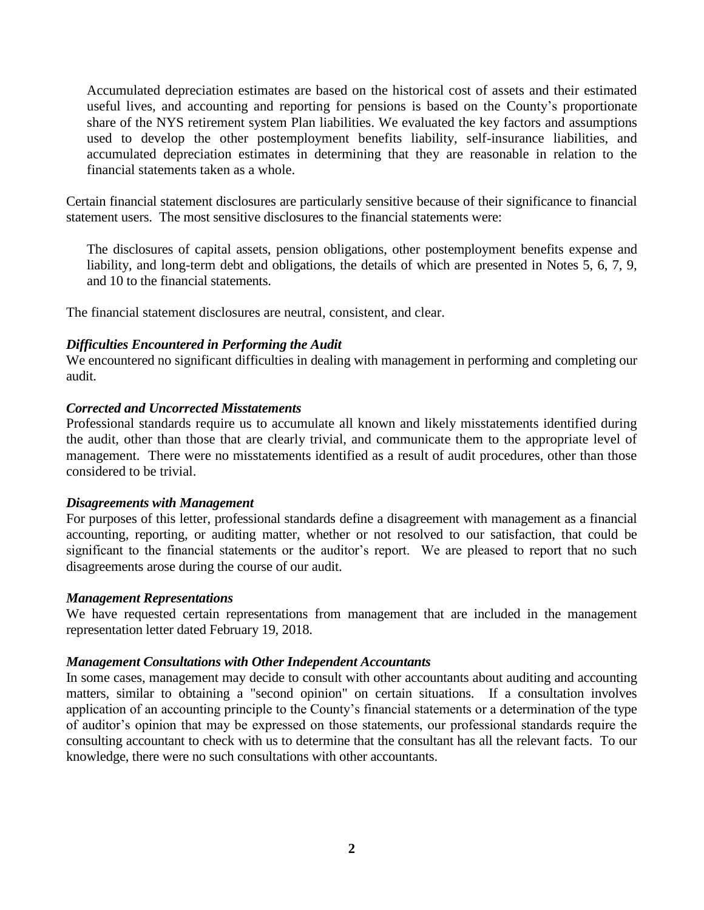Accumulated depreciation estimates are based on the historical cost of assets and their estimated useful lives, and accounting and reporting for pensions is based on the County's proportionate share of the NYS retirement system Plan liabilities. We evaluated the key factors and assumptions used to develop the other postemployment benefits liability, self-insurance liabilities, and accumulated depreciation estimates in determining that they are reasonable in relation to the financial statements taken as a whole.

Certain financial statement disclosures are particularly sensitive because of their significance to financial statement users. The most sensitive disclosures to the financial statements were:

The disclosures of capital assets, pension obligations, other postemployment benefits expense and liability, and long-term debt and obligations, the details of which are presented in Notes 5, 6, 7, 9, and 10 to the financial statements.

The financial statement disclosures are neutral, consistent, and clear.

### *Difficulties Encountered in Performing the Audit*

We encountered no significant difficulties in dealing with management in performing and completing our audit.

## *Corrected and Uncorrected Misstatements*

Professional standards require us to accumulate all known and likely misstatements identified during the audit, other than those that are clearly trivial, and communicate them to the appropriate level of management. There were no misstatements identified as a result of audit procedures, other than those considered to be trivial.

### *Disagreements with Management*

For purposes of this letter, professional standards define a disagreement with management as a financial accounting, reporting, or auditing matter, whether or not resolved to our satisfaction, that could be significant to the financial statements or the auditor's report. We are pleased to report that no such disagreements arose during the course of our audit.

### *Management Representations*

We have requested certain representations from management that are included in the management representation letter dated February 19, 2018.

### *Management Consultations with Other Independent Accountants*

In some cases, management may decide to consult with other accountants about auditing and accounting matters, similar to obtaining a "second opinion" on certain situations. If a consultation involves application of an accounting principle to the County's financial statements or a determination of the type of auditor's opinion that may be expressed on those statements, our professional standards require the consulting accountant to check with us to determine that the consultant has all the relevant facts. To our knowledge, there were no such consultations with other accountants.